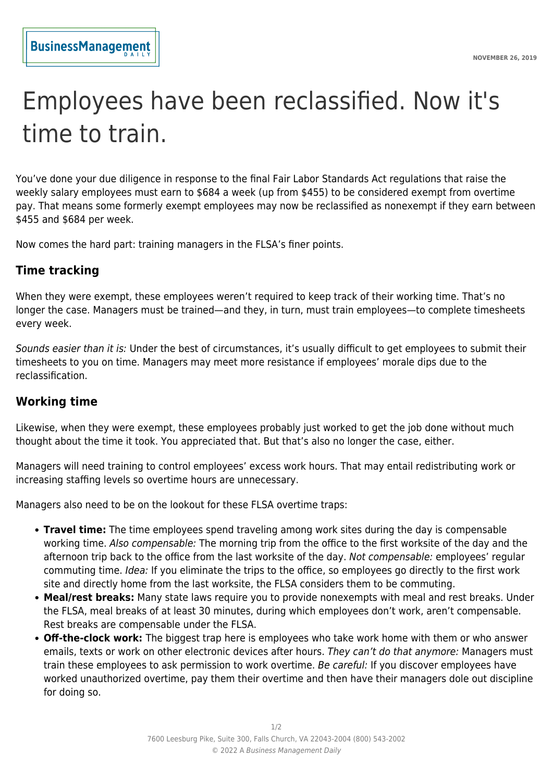# Employees have been reclassified. Now it's time to train.

You've done your due diligence in response to the final Fair Labor Standards Act regulations that raise the weekly salary employees must earn to \$684 a week (up from \$455) to be considered exempt from overtime pay. That means some formerly exempt employees may now be reclassified as nonexempt if they earn between \$455 and \$684 per week.

Now comes the hard part: training managers in the FLSA's finer points.

## **Time tracking**

When they were exempt, these employees weren't required to keep track of their working time. That's no longer the case. Managers must be trained—and they, in turn, must train employees—to complete timesheets every week.

Sounds easier than it is: Under the best of circumstances, it's usually difficult to get employees to submit their timesheets to you on time. Managers may meet more resistance if employees' morale dips due to the reclassification.

## **Working time**

Likewise, when they were exempt, these employees probably just worked to get the job done without much thought about the time it took. You appreciated that. But that's also no longer the case, either.

Managers will need training to control employees' excess work hours. That may entail redistributing work or increasing staffing levels so overtime hours are unnecessary.

Managers also need to be on the lookout for these FLSA overtime traps:

- **Travel time:** The time employees spend traveling among work sites during the day is compensable working time. Also compensable: The morning trip from the office to the first worksite of the day and the afternoon trip back to the office from the last worksite of the day. Not compensable: employees' regular commuting time. Idea: If you eliminate the trips to the office, so employees go directly to the first work site and directly home from the last worksite, the FLSA considers them to be commuting.
- **Meal/rest breaks:** Many state laws require you to provide nonexempts with meal and rest breaks. Under the FLSA, meal breaks of at least 30 minutes, during which employees don't work, aren't compensable. Rest breaks are compensable under the FLSA.
- **Off-the-clock work:** The biggest trap here is employees who take work home with them or who answer emails, texts or work on other electronic devices after hours. They can't do that anymore: Managers must train these employees to ask permission to work overtime. Be careful: If you discover employees have worked unauthorized overtime, pay them their overtime and then have their managers dole out discipline for doing so.